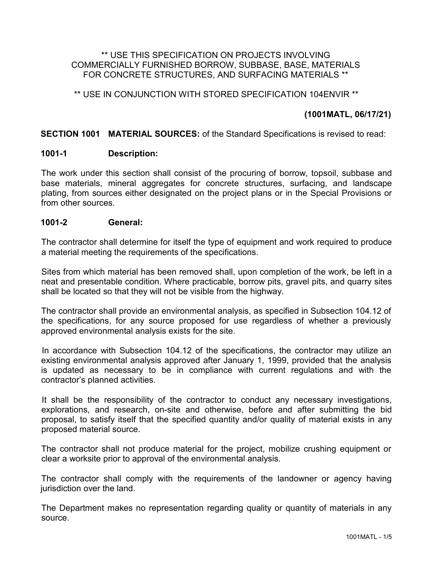#### \*\* USE THIS SPECIFICATION ON PROJECTS INVOLVING COMMERCIALLY FURNISHED BORROW, SUBBASE, BASE, MATERIALS FOR CONCRETE STRUCTURES, AND SURFACING MATERIALS \*\*

## \*\* USE IN CONJUNCTION WITH STORED SPECIFICATION 104ENVIR \*\*

# **(1001MATL, 06/17/21)**

#### **SECTION 1001 MATERIAL SOURCES:** of the Standard Specifications is revised to read:

#### **1001-1 Description:**

The work under this section shall consist of the procuring of borrow, topsoil, subbase and base materials, mineral aggregates for concrete structures, surfacing, and landscape plating, from sources either designated on the project plans or in the Special Provisions or from other sources.

#### **1001-2 General:**

The contractor shall determine for itself the type of equipment and work required to produce a material meeting the requirements of the specifications.

Sites from which material has been removed shall, upon completion of the work, be left in a neat and presentable condition. Where practicable, borrow pits, gravel pits, and quarry sites shall be located so that they will not be visible from the highway.

The contractor shall provide an environmental analysis, as specified in Subsection 104.12 of the specifications, for any source proposed for use regardless of whether a previously approved environmental analysis exists for the site.

In accordance with Subsection 104.12 of the specifications, the contractor may utilize an existing environmental analysis approved after January 1, 1999, provided that the analysis is updated as necessary to be in compliance with current regulations and with the contractor's planned activities.

It shall be the responsibility of the contractor to conduct any necessary investigations, explorations, and research, on-site and otherwise, before and after submitting the bid proposal, to satisfy itself that the specified quantity and/or quality of material exists in any proposed material source.

The contractor shall not produce material for the project, mobilize crushing equipment or clear a worksite prior to approval of the environmental analysis.

The contractor shall comply with the requirements of the landowner or agency having jurisdiction over the land.

The Department makes no representation regarding quality or quantity of materials in any source.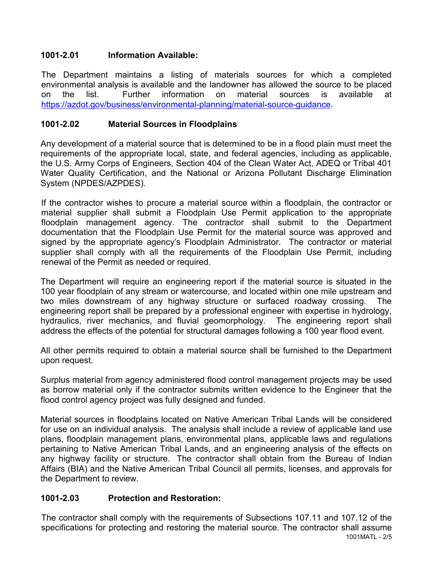## **1001-2.01 Information Available:**

The Department maintains a listing of materials sources for which a completed environmental analysis is available and the landowner has allowed the source to be placed on the list. Further information on material sources is available at [https://azdot.gov/business/environmental-planning/material-source-guidance.](https://azdot.gov/business/environmental-planning/material-source-guidance)

## **1001-2.02 Material Sources in Floodplains**

Any development of a material source that is determined to be in a flood plain must meet the requirements of the appropriate local, state, and federal agencies, including as applicable, the U.S. Army Corps of Engineers, Section 404 of the Clean Water Act, ADEQ or Tribal 401 Water Quality Certification, and the National or Arizona Pollutant Discharge Elimination System (NPDES/AZPDES).

If the contractor wishes to procure a material source within a floodplain, the contractor or material supplier shall submit a Floodplain Use Permit application to the appropriate floodplain management agency. The contractor shall submit to the Department documentation that the Floodplain Use Permit for the material source was approved and signed by the appropriate agency's Floodplain Administrator. The contractor or material supplier shall comply with all the requirements of the Floodplain Use Permit, including renewal of the Permit as needed or required.

The Department will require an engineering report if the material source is situated in the 100 year floodplain of any stream or watercourse, and located within one mile upstream and two miles downstream of any highway structure or surfaced roadway crossing. The engineering report shall be prepared by a professional engineer with expertise in hydrology, hydraulics, river mechanics, and fluvial geomorphology. The engineering report shall address the effects of the potential for structural damages following a 100 year flood event.

All other permits required to obtain a material source shall be furnished to the Department upon request.

Surplus material from agency administered flood control management projects may be used as borrow material only if the contractor submits written evidence to the Engineer that the flood control agency project was fully designed and funded.

Material sources in floodplains located on Native American Tribal Lands will be considered for use on an individual analysis. The analysis shall include a review of applicable land use plans, floodplain management plans, environmental plans, applicable laws and regulations pertaining to Native American Tribal Lands, and an engineering analysis of the effects on any highway facility or structure. The contractor shall obtain from the Bureau of Indian Affairs (BIA) and the Native American Tribal Council all permits, licenses, and approvals for the Department to review.

### **1001-2.03 Protection and Restoration:**

1001MATL - 2/5 The contractor shall comply with the requirements of Subsections 107.11 and 107.12 of the specifications for protecting and restoring the material source. The contractor shall assume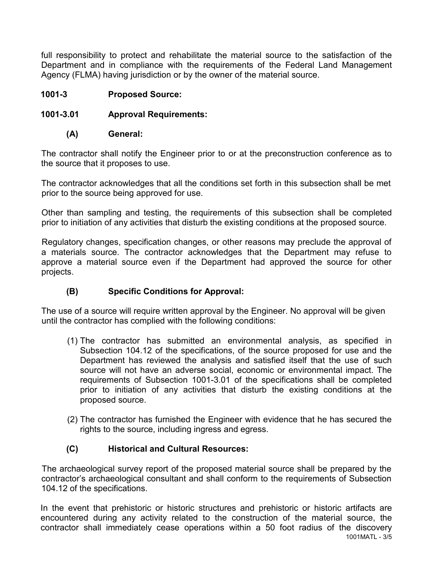full responsibility to protect and rehabilitate the material source to the satisfaction of the Department and in compliance with the requirements of the Federal Land Management Agency (FLMA) having jurisdiction or by the owner of the material source.

## **1001-3 Proposed Source:**

## **1001-3.01 Approval Requirements:**

#### **(A) General:**

The contractor shall notify the Engineer prior to or at the preconstruction conference as to the source that it proposes to use.

The contractor acknowledges that all the conditions set forth in this subsection shall be met prior to the source being approved for use.

Other than sampling and testing, the requirements of this subsection shall be completed prior to initiation of any activities that disturb the existing conditions at the proposed source.

Regulatory changes, specification changes, or other reasons may preclude the approval of a materials source. The contractor acknowledges that the Department may refuse to approve a material source even if the Department had approved the source for other projects.

### **(B) Specific Conditions for Approval:**

The use of a source will require written approval by the Engineer. No approval will be given until the contractor has complied with the following conditions:

- (1) The contractor has submitted an environmental analysis, as specified in Subsection 104.12 of the specifications, of the source proposed for use and the Department has reviewed the analysis and satisfied itself that the use of such source will not have an adverse social, economic or environmental impact. The requirements of Subsection 1001-3.01 of the specifications shall be completed prior to initiation of any activities that disturb the existing conditions at the proposed source.
- (2) The contractor has furnished the Engineer with evidence that he has secured the rights to the source, including ingress and egress.

### **(C) Historical and Cultural Resources:**

The archaeological survey report of the proposed material source shall be prepared by the contractor's archaeological consultant and shall conform to the requirements of Subsection 104.12 of the specifications.

1001MATL - 3/5 In the event that prehistoric or historic structures and prehistoric or historic artifacts are encountered during any activity related to the construction of the material source, the contractor shall immediately cease operations within a 50 foot radius of the discovery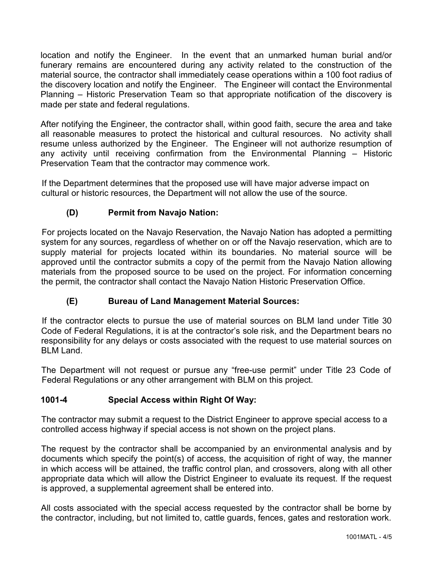location and notify the Engineer. In the event that an unmarked human burial and/or funerary remains are encountered during any activity related to the construction of the material source, the contractor shall immediately cease operations within a 100 foot radius of the discovery location and notify the Engineer. The Engineer will contact the Environmental Planning – Historic Preservation Team so that appropriate notification of the discovery is made per state and federal regulations.

After notifying the Engineer, the contractor shall, within good faith, secure the area and take all reasonable measures to protect the historical and cultural resources. No activity shall resume unless authorized by the Engineer. The Engineer will not authorize resumption of any activity until receiving confirmation from the Environmental Planning – Historic Preservation Team that the contractor may commence work.

If the Department determines that the proposed use will have major adverse impact on cultural or historic resources, the Department will not allow the use of the source.

# **(D) Permit from Navajo Nation:**

For projects located on the Navajo Reservation, the Navajo Nation has adopted a permitting system for any sources, regardless of whether on or off the Navajo reservation, which are to supply material for projects located within its boundaries. No material source will be approved until the contractor submits a copy of the permit from the Navajo Nation allowing materials from the proposed source to be used on the project. For information concerning the permit, the contractor shall contact the Navajo Nation Historic Preservation Office.

# **(E) Bureau of Land Management Material Sources:**

If the contractor elects to pursue the use of material sources on BLM land under Title 30 Code of Federal Regulations, it is at the contractor's sole risk, and the Department bears no responsibility for any delays or costs associated with the request to use material sources on BLM Land.

The Department will not request or pursue any "free-use permit" under Title 23 Code of Federal Regulations or any other arrangement with BLM on this project.

# **1001-4 Special Access within Right Of Way:**

The contractor may submit a request to the District Engineer to approve special access to a controlled access highway if special access is not shown on the project plans.

The request by the contractor shall be accompanied by an environmental analysis and by documents which specify the point(s) of access, the acquisition of right of way, the manner in which access will be attained, the traffic control plan, and crossovers, along with all other appropriate data which will allow the District Engineer to evaluate its request. If the request is approved, a supplemental agreement shall be entered into.

All costs associated with the special access requested by the contractor shall be borne by the contractor, including, but not limited to, cattle guards, fences, gates and restoration work.